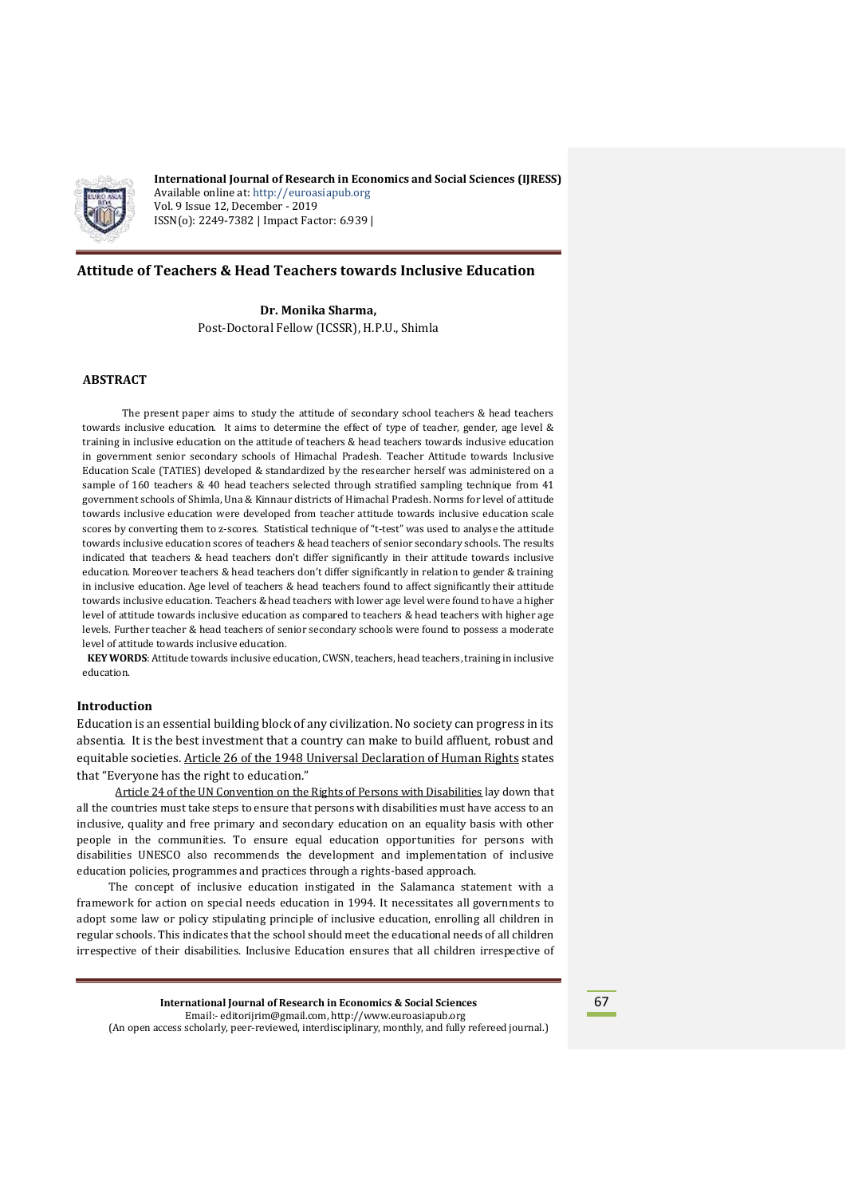

**International Journal of Research in Economics and Social Sciences (IJRESS)** Available online at: http://euroasiapub.org Vol. 9 Issue 12, December - 2019 ISSN(o): 2249-7382 | Impact Factor: 6.939 |

# **Attitude of Teachers & Head Teachers towards Inclusive Education**

**Dr. Monika Sharma,** Post-Doctoral Fellow (ICSSR), H.P.U., Shimla

# **ABSTRACT**

 The present paper aims to study the attitude of secondary school teachers & head teachers towards inclusive education. It aims to determine the effect of type of teacher, gender, age level & training in inclusive education on the attitude of teachers & head teachers towards inclusive education in government senior secondary schools of Himachal Pradesh. Teacher Attitude towards Inclusive Education Scale (TATIES) developed & standardized by the researcher herself was administered on a sample of 160 teachers & 40 head teachers selected through stratified sampling technique from 41 government schools of Shimla, Una & Kinnaur districts of Himachal Pradesh. Norms for level of attitude towards inclusive education were developed from teacher attitude towards inclusive education scale scores by converting them to z-scores. Statistical technique of "t-test" was used to analyse the attitude towards inclusive education scores of teachers & head teachers of senior secondary schools. The results indicated that teachers & head teachers don't differ significantly in their attitude towards inclusive education. Moreover teachers & head teachers don't differ significantly in relation to gender & training in inclusive education. Age level of teachers & head teachers found to affect significantly their attitude towards inclusive education. Teachers & head teachers with lower age level were found to have a higher level of attitude towards inclusive education as compared to teachers & head teachers with higher age levels. Further teacher & head teachers of senior secondary schools were found to possess a moderate level of attitude towards inclusive education.

**KEY WORDS**: Attitude towards inclusive education, CWSN, teachers, head teachers, training in inclusive education.

## **Introduction**

Education is an essential building block of any civilization. No society can progress in its absentia. It is the best investment that a country can make to build affluent, robust and equitable societies. Article 26 of the 1948 [Universal Declaration of Human Rights](http://www.un.org/en/universal-declaration-human-rights/index.html) states that "Everyone has the right to education."

[Article 24 of the UN Convention on the Rights of Persons with Disabilities](http://www.ohchr.org/EN/HRBodies/CRPD/Pages/ConventionRightsPersonsWithDisabilities.aspx) lay down that all the countries must take steps to ensure that persons with disabilities must have access to an inclusive, quality and free primary and secondary education on an equality basis with other people in the communities. To ensure equal education opportunities for persons with disabilities UNESCO also recommends the development and implementation of inclusive education policies, programmes and practices through a rights-based approach.

 The concept of inclusive education instigated in the Salamanca statement with a framework for action on special needs education in 1994. It necessitates all governments to adopt some law or policy stipulating principle of inclusive education, enrolling all children in regular schools. This indicates that the school should meet the educational needs of all children irrespective of their disabilities. Inclusive Education ensures that all children irrespective of

**International Journal of Research in Economics & Social Sciences** Email:- editorijrim@gmail.com, http://www.euroasiapub.org (An open access scholarly, peer-reviewed, interdisciplinary, monthly, and fully refereed journal.)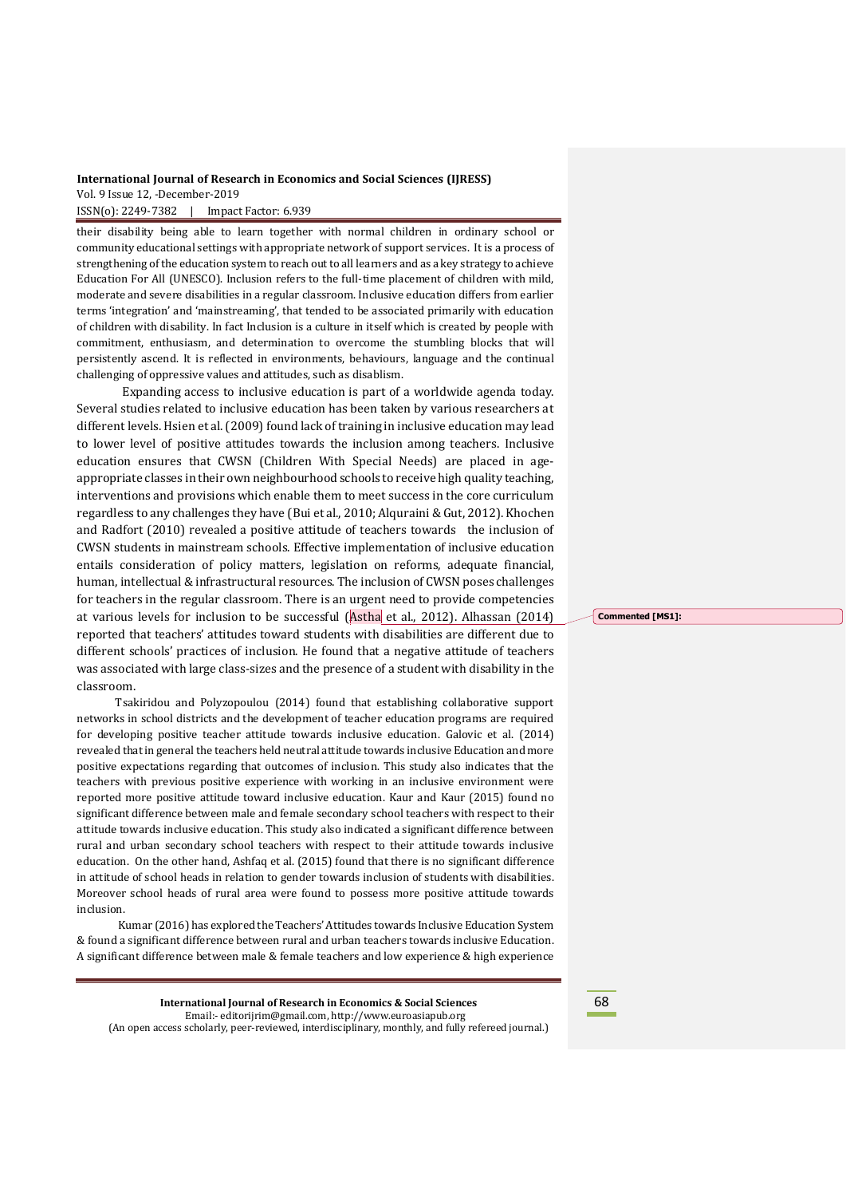their disability being able to learn together with normal children in ordinary school or community educational settings with appropriate network of support services. It is a process of strengthening of the education system to reach out to all learners and as a key strategy to achieve Education For All (UNESCO). Inclusion refers to the full-time placement of children with mild, moderate and severe disabilities in a regular classroom. Inclusive education differs from earlier terms 'integration' and 'mainstreaming', that tended to be associated primarily with education of children with disability. In fact Inclusion is a culture in itself which is created by people with commitment, enthusiasm, and determination to overcome the stumbling blocks that will persistently ascend. It is reflected in environments, behaviours, language and the continual challenging of oppressive values and attitudes, such as disablism.

Expanding access to inclusive education is part of a worldwide agenda today. Several studies related to inclusive education has been taken by various researchers at different levels. Hsien et al.(2009) found lack of training in inclusive education may lead to lower level of positive attitudes towards the inclusion among teachers. Inclusive education ensures that CWSN (Children With Special Needs) are placed in ageappropriate classes in their own neighbourhood schools to receive high quality teaching, interventions and provisions which enable them to meet success in the core curriculum regardless to any challenges they have (Bui et al., 2010; Alquraini & Gut, 2012). Khochen and Radfort (2010) revealed a positive attitude of teachers towards the inclusion of CWSN students in mainstream schools. Effective implementation of inclusive education entails consideration of policy matters, legislation on reforms, adequate financial, human, intellectual& infrastructural resources. The inclusion of CWSN poses challenges for teachers in the regular classroom. There is an urgent need to provide competencies at various levels for inclusion to be successful (Astha et al., 2012). Alhassan (2014) reported that teachers' attitudes toward students with disabilities are different due to different schools' practices of inclusion. He found that a negative attitude of teachers was associated with large class-sizes and the presence of a student with disability in the classroom.

Tsakiridou and Polyzopoulou (2014) found that establishing collaborative support networks in school districts and the development of teacher education programs are required for developing positive teacher attitude towards inclusive education. Galovic et al. (2014) revealed that in general the teachers held neutral attitude towards inclusive Education and more positive expectations regarding that outcomes of inclusion. This study also indicates that the teachers with previous positive experience with working in an inclusive environment were reported more positive attitude toward inclusive education. Kaur and Kaur (2015) found no significant difference between male and female secondary school teachers with respect to their attitude towards inclusive education. This study also indicated a significant difference between rural and urban secondary school teachers with respect to their attitude towards inclusive education. On the other hand, Ashfaq et al. (2015) found that there is no significant difference in attitude of school heads in relation to gender towards inclusion of students with disabilities. Moreover school heads of rural area were found to possess more positive attitude towards inclusion.

Kumar (2016) has explored the Teachers' Attitudes towards Inclusive Education System & found a significant difference between rural and urban teachers towards inclusive Education. A significant difference between male & female teachers and low experience & high experience

**International Journal of Research in Economics & Social Sciences** Email:- editorijrim@gmail.com, http://www.euroasiapub.org (An open access scholarly, peer-reviewed, interdisciplinary, monthly, and fully refereed journal.) **Commented [MS1]:** 

68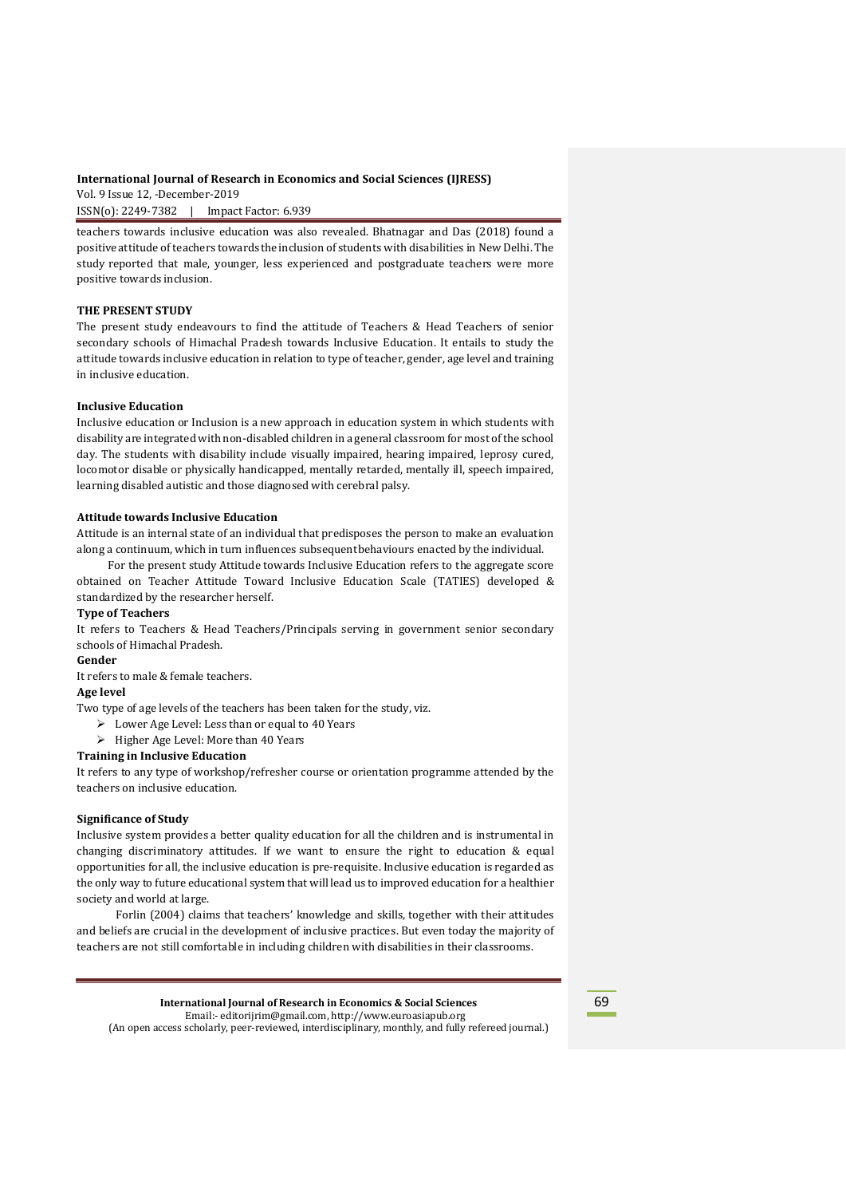ISSN(o): 2249-7382 | Impact Factor: 6.939

teachers towards inclusive education was also revealed. Bhatnagar and Das (2018) found a positive attitude of teachers towards theinclusion of students with disabilities in New Delhi. The study reported that male, younger, less experienced and postgraduate teachers were more positive towards inclusion.

# **THE PRESENT STUDY**

The present study endeavours to find the attitude of Teachers & Head Teachers of senior secondary schools of Himachal Pradesh towards Inclusive Education. It entails to study the attitude towards inclusive education in relation to type of teacher, gender, age level and training in inclusive education.

### **Inclusive Education**

Inclusive education or Inclusion is a new approach in education system in which students with disability are integrated with non-disabled children in a general classroom for most of the school day. The students with disability include visually impaired, hearing impaired, leprosy cured, locomotor disable or physically handicapped, mentally retarded, mentally ill, speech impaired, learning disabled autistic and those diagnosed with cerebral palsy.

### **Attitude towards Inclusive Education**

Attitude is an internal state of an individual that predisposes the person to make an evaluation along a continuum, which in turn influences subsequentbehaviours enacted by the individual.

 For the present study Attitude towards Inclusive Education refers to the aggregate score obtained on Teacher Attitude Toward Inclusive Education Scale (TATIES) developed & standardized by the researcher herself.

## **Type of Teachers**

It refers to Teachers & Head Teachers/Principals serving in government senior secondary schools of Himachal Pradesh.

# **Gender**

It refers to male & female teachers.

# **Age level**

Two type of age levels of the teachers has been taken for the study, viz.

- $\triangleright$  Lower Age Level: Less than or equal to 40 Years
- $\triangleright$  Higher Age Level: More than 40 Years

### **Training in Inclusive Education**

It refers to any type of workshop/refresher course or orientation programme attended by the teachers on inclusive education.

### **Significance of Study**

Inclusive system provides a better quality education for all the children and is instrumental in changing discriminatory attitudes. If we want to ensure the right to education  $\&$  equal opportunities for all, the inclusive education is pre-requisite. Inclusive education is regarded as the only way to future educational system that will lead us to improved education for a healthier society and world at large.

 Forlin (2004) claims that teachers' knowledge and skills, together with their attitudes and beliefs are crucial in the development of inclusive practices. But even today the majority of teachers are not still comfortable in including children with disabilities in their classrooms.

> **International Journal of Research in Economics & Social Sciences** Email:- editorijrim@gmail.com, http://www.euroasiapub.org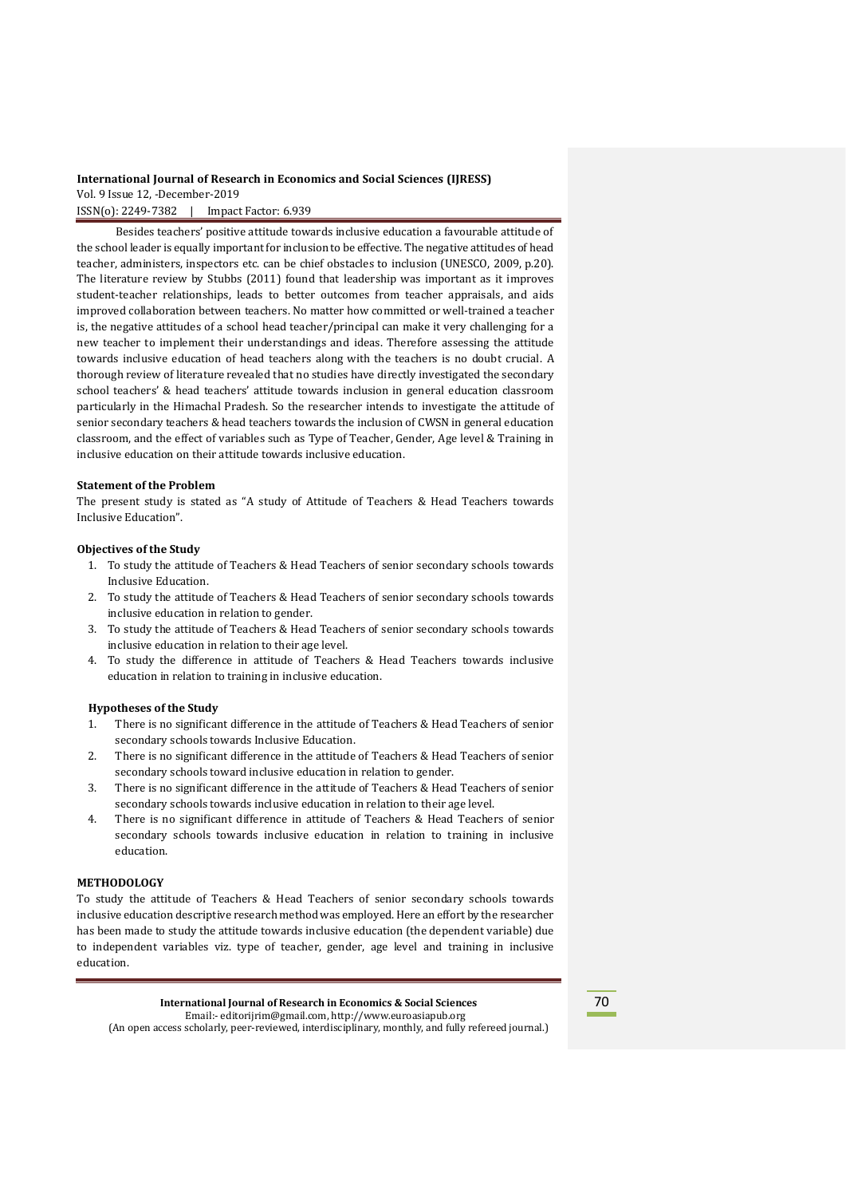Besides teachers' positive attitude towards inclusive education a favourable attitude of the school leader is equally important for inclusion to be effective. The negative attitudes of head teacher, administers, inspectors etc. can be chief obstacles to inclusion (UNESCO, 2009, p.20). The literature review by Stubbs (2011) found that leadership was important as it improves student-teacher relationships, leads to better outcomes from teacher appraisals, and aids improved collaboration between teachers. No matter how committed or well-trained a teacher is, the negative attitudes of a school head teacher/principal can make it very challenging for a new teacher to implement their understandings and ideas. Therefore assessing the attitude towards inclusive education of head teachers along with the teachers is no doubt crucial. A thorough review of literature revealed that no studies have directly investigated the secondary school teachers' & head teachers' attitude towards inclusion in general education classroom particularly in the Himachal Pradesh. So the researcher intends to investigate the attitude of senior secondary teachers & head teachers towards the inclusion of CWSN in general education classroom, and the effect of variables such as Type of Teacher, Gender, Age level & Training in inclusive education on their attitude towards inclusive education.

#### **Statement of the Problem**

The present study is stated as "A study of Attitude of Teachers & Head Teachers towards Inclusive Education".

### **Objectives of the Study**

- 1. To study the attitude of Teachers & Head Teachers of senior secondary schools towards Inclusive Education.
- 2. To study the attitude of Teachers & Head Teachers of senior secondary schools towards inclusive education in relation to gender.
- 3. To study the attitude of Teachers & Head Teachers of senior secondary schools towards inclusive education in relation to their age level.
- 4. To study the difference in attitude of Teachers & Head Teachers towards inclusive education in relation to training in inclusive education.

#### **Hypotheses of the Study**

- 1. There is no significant difference in the attitude of Teachers & Head Teachers of senior secondary schools towards Inclusive Education.
- 2. There is no significant difference in the attitude of Teachers & Head Teachers of senior secondary schools toward inclusive education in relation to gender.
- 3. There is no significant difference in the attitude of Teachers & Head Teachers of senior secondary schools towards inclusive education in relation to their age level.
- 4. There is no significant difference in attitude of Teachers & Head Teachers of senior secondary schools towards inclusive education in relation to training in inclusive education.

### **METHODOLOGY**

To study the attitude of Teachers & Head Teachers of senior secondary schools towards inclusive education descriptive research method was employed. Here an effort by the researcher has been made to study the attitude towards inclusive education (the dependent variable) due to independent variables viz. type of teacher, gender, age level and training in inclusive education.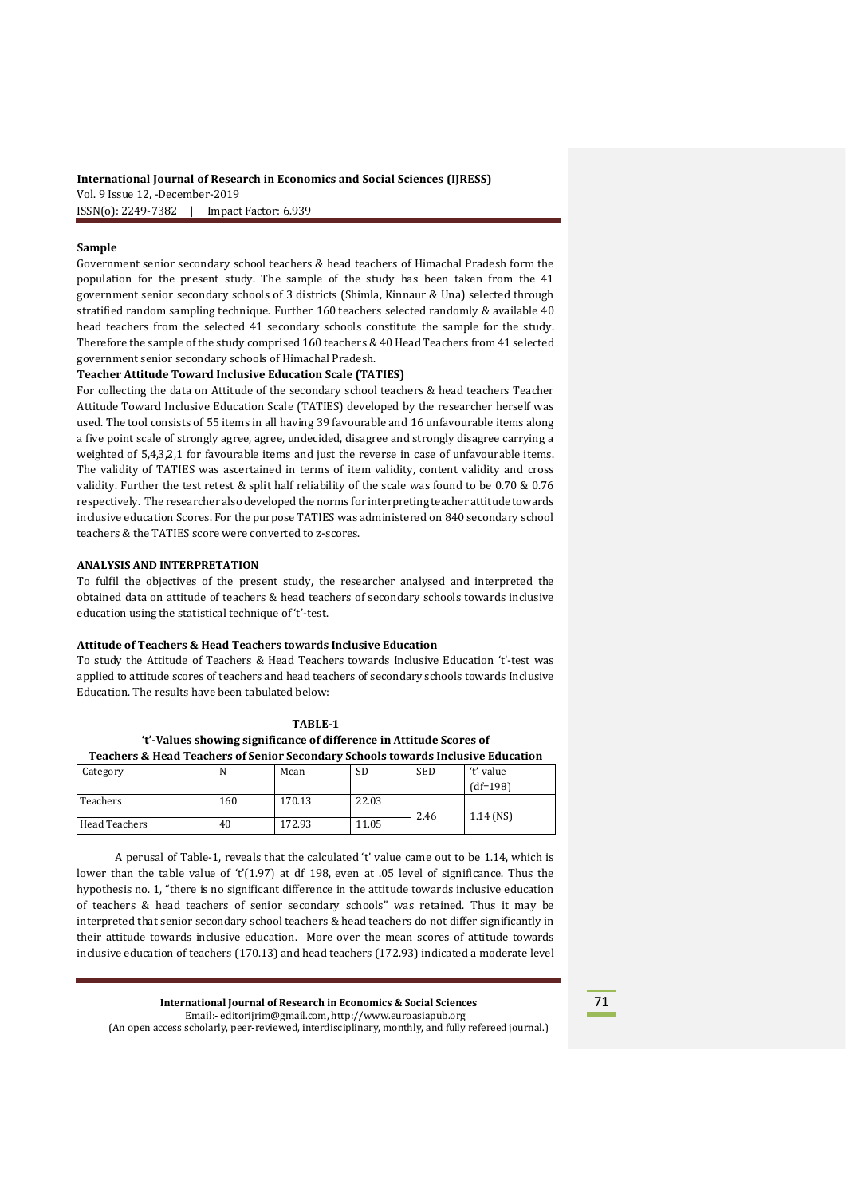## **Sample**

Government senior secondary school teachers & head teachers of Himachal Pradesh form the population for the present study. The sample of the study has been taken from the 41 government senior secondary schools of 3 districts (Shimla, Kinnaur & Una) selected through stratified random sampling technique. Further 160 teachers selected randomly & available 40 head teachers from the selected 41 secondary schools constitute the sample for the study. Therefore the sample of the study comprised 160 teachers & 40 Head Teachers from 41 selected government senior secondary schools of Himachal Pradesh.

#### **Teacher Attitude Toward Inclusive Education Scale (TATIES)**

For collecting the data on Attitude of the secondary school teachers & head teachers Teacher Attitude Toward Inclusive Education Scale (TATIES) developed by the researcher herself was used. The tool consists of 55 items in all having 39 favourable and 16 unfavourable items along a five point scale of strongly agree, agree, undecided, disagree and strongly disagree carrying a weighted of 5,4,3,2,1 for favourable items and just the reverse in case of unfavourable items. The validity of TATIES was ascertained in terms of item validity, content validity and cross validity. Further the test retest & split half reliability of the scale was found to be 0.70 & 0.76 respectively. The researcher also developed the norms for interpreting teacher attitude towards inclusive education Scores. For the purpose TATIES was administered on 840 secondary school teachers & the TATIES score were converted to z-scores.

#### **ANALYSIS AND INTERPRETATION**

To fulfil the objectives of the present study, the researcher analysed and interpreted the obtained data on attitude of teachers & head teachers of secondary schools towards inclusive education using the statistical technique of 't'-test.

#### **Attitude of Teachers & Head Teachers towards Inclusive Education**

To study the Attitude of Teachers & Head Teachers towards Inclusive Education 't'-test was applied to attitude scores of teachers and head teachers of secondary schools towards Inclusive Education. The results have been tabulated below:

### **TABLE-1**

| 't'-Values showing significance of difference in Attitude Scores of                        |
|--------------------------------------------------------------------------------------------|
| <b>Feachers &amp; Head Teachers of Senior Secondary Schools towards Inclusive Educatio</b> |

| Category      | N   | Mean   | <b>SD</b> | <b>SED</b> | 't'-value   |
|---------------|-----|--------|-----------|------------|-------------|
|               |     |        |           |            | $(df=198)$  |
| Teachers      | 160 | 170.13 | 22.03     |            |             |
|               |     |        |           | 2.46       | $1.14$ (NS) |
| Head Teachers | 40  | 172.93 | 11.05     |            |             |

A perusal of Table-1, reveals that the calculated 't' value came out to be 1.14, which is lower than the table value of 't'(1.97) at df 198, even at .05 level of significance. Thus the hypothesis no. 1, "there is no significant difference in the attitude towards inclusive education of teachers & head teachers of senior secondary schools" was retained. Thus it may be interpreted that senior secondary school teachers & head teachers do not differ significantly in their attitude towards inclusive education. More over the mean scores of attitude towards inclusive education of teachers (170.13) and head teachers (172.93) indicated a moderate level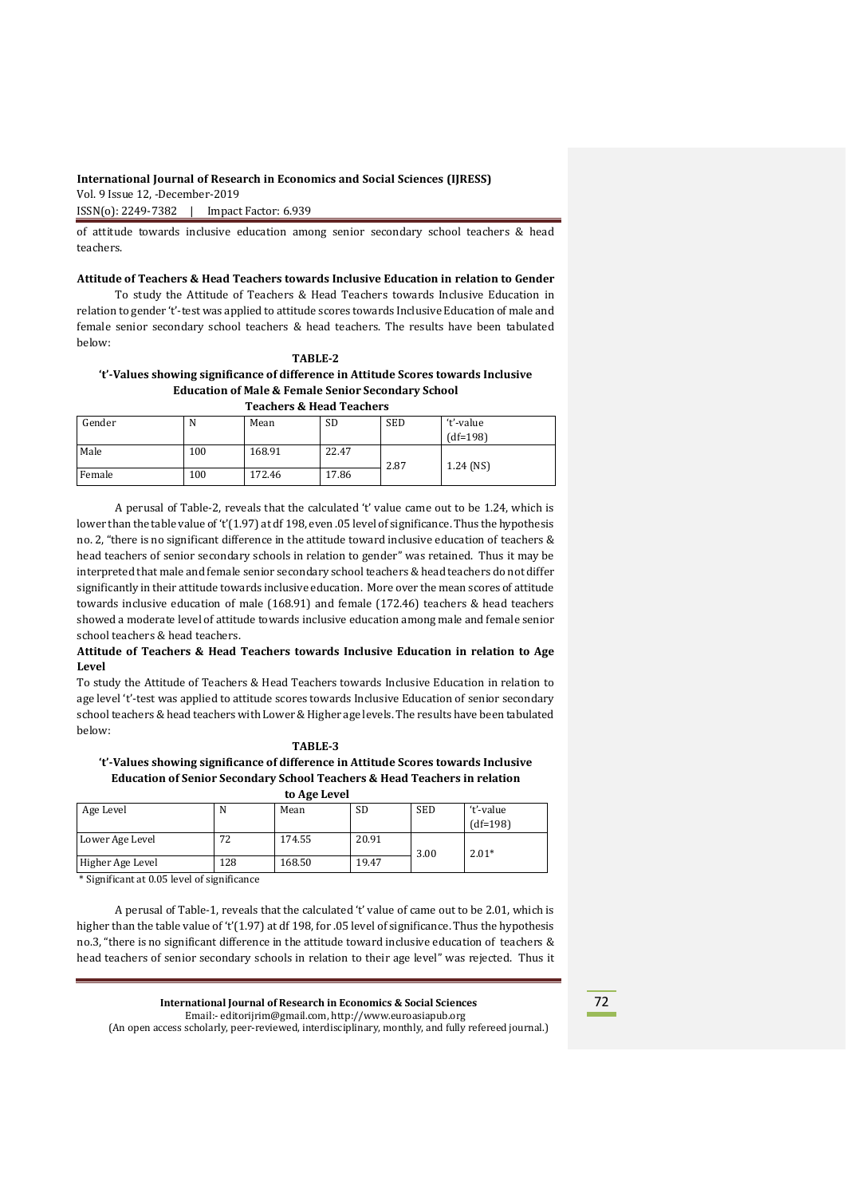ISSN(o): 2249-7382 | Impact Factor: 6.939

of attitude towards inclusive education among senior secondary school teachers & head teachers.

# **Attitude of Teachers & Head Teachers towards Inclusive Education in relation to Gender**

To study the Attitude of Teachers & Head Teachers towards Inclusive Education in relation to gender 't'-test was applied to attitude scores towards Inclusive Education of male and female senior secondary school teachers & head teachers. The results have been tabulated below:

## **TABLE-2 't'-Values showing significance of difference in Attitude Scores towards Inclusive Education of Male & Female Senior Secondary School Teachers & Head Teachers**

| Gender | N   | Mean   | <b>SD</b> | <b>SED</b> | ʻt'-value   |
|--------|-----|--------|-----------|------------|-------------|
|        |     |        |           |            | $(df=198)$  |
| Male   | 100 | 168.91 | 22.47     |            |             |
|        |     |        |           | 2.87       | $1.24$ (NS) |
| Female | 100 | 172.46 | 17.86     |            |             |

A perusal of Table-2, reveals that the calculated 't' value came out to be 1.24, which is lower than the table value of 't'(1.97) at df 198, even .05 level of significance. Thus the hypothesis no. 2, "there is no significant difference in the attitude toward inclusive education of teachers & head teachers of senior secondary schools in relation to gender" was retained. Thus it may be interpreted that male and female senior secondary school teachers & head teachers do not differ significantly in their attitude towards inclusive education. More over the mean scores of attitude towards inclusive education of male (168.91) and female (172.46) teachers & head teachers showed a moderate level of attitude towards inclusive education among male and female senior school teachers & head teachers.

# **Attitude of Teachers & Head Teachers towards Inclusive Education in relation to Age Level**

To study the Attitude of Teachers & Head Teachers towards Inclusive Education in relation to age level 't'-test was applied to attitude scores towards Inclusive Education of senior secondary school teachers & head teachers with Lower& Higher age levels. The results have been tabulated below:

#### **TABLE-3**

**'t'-Values showing significance of difference in Attitude Scores towards Inclusive Education of Senior Secondary School Teachers & Head Teachers in relation to Age Level**

| Age Level        |           | Mean   | <b>SD</b> | <b>SED</b> | ʻt'-value  |
|------------------|-----------|--------|-----------|------------|------------|
|                  |           |        |           |            | $(df=198)$ |
| Lower Age Level  | רי<br>ے ' | 174.55 | 20.91     |            |            |
|                  |           |        |           | 3.00       | $2.01*$    |
| Higher Age Level | 128       | 168.50 | 19.47     |            |            |

\* Significant at 0.05 level of significance

A perusal of Table-1, reveals that the calculated 't' value of came out to be 2.01, which is higher than the table value of 't'(1.97) at df 198, for .05 level of significance. Thus the hypothesis no.3, "there is no significant difference in the attitude toward inclusive education of teachers & head teachers of senior secondary schools in relation to their age level" was rejected. Thus it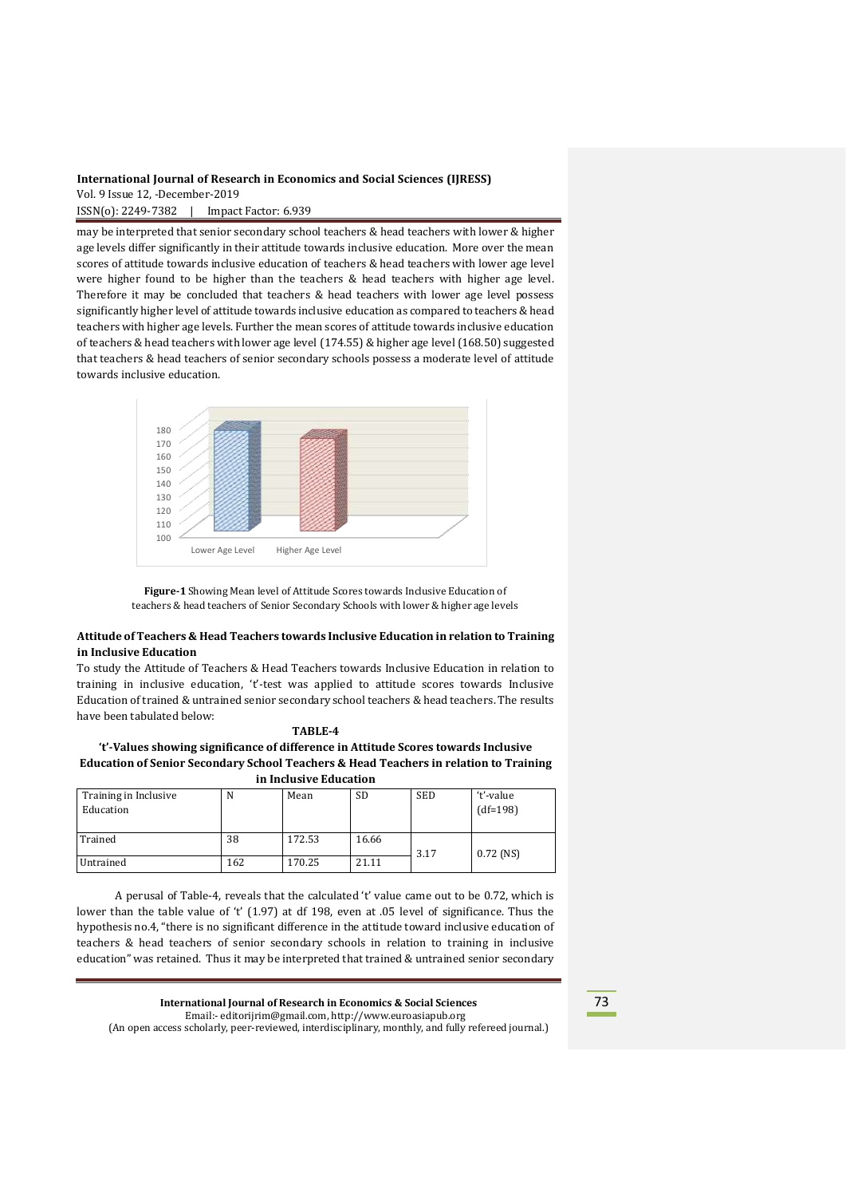ISSN(o): 2249-7382 | Impact Factor: 6.939

may be interpreted that senior secondary school teachers & head teachers with lower & higher age levels differ significantly in their attitude towards inclusive education. More over the mean scores of attitude towards inclusive education of teachers & head teachers with lower age level were higher found to be higher than the teachers & head teachers with higher age level. Therefore it may be concluded that teachers & head teachers with lower age level possess significantly higher level of attitude towards inclusive education as compared to teachers & head teachers with higher age levels. Further the mean scores of attitude towards inclusive education of teachers & head teachers with lower age level (174.55) & higher age level (168.50) suggested that teachers & head teachers of senior secondary schools possess a moderate level of attitude towards inclusive education.





# **Attitude of Teachers & Head Teachers towards Inclusive Education in relation to Training in Inclusive Education**

To study the Attitude of Teachers & Head Teachers towards Inclusive Education in relation to training in inclusive education, 't'-test was applied to attitude scores towards Inclusive Education of trained & untrained senior secondary school teachers & head teachers. The results have been tabulated below:

# **TABLE-4**

**'t'-Values showing significance of difference in Attitude Scores towards Inclusive Education of Senior Secondary School Teachers & Head Teachers in relation to Training in Inclusive Education**

| Training in Inclusive<br>Education | N   | Mean   | SD    | <b>SED</b> | 't'-value<br>$(df=198)$ |
|------------------------------------|-----|--------|-------|------------|-------------------------|
| Trained                            | 38  | 172.53 | 16.66 | 3.17       | $0.72$ (NS)             |
| Untrained                          | 162 | 170.25 | 21.11 |            |                         |

A perusal of Table-4, reveals that the calculated 't' value came out to be 0.72, which is lower than the table value of 't' (1.97) at df 198, even at .05 level of significance. Thus the hypothesis no.4, "there is no significant difference in the attitude toward inclusive education of teachers & head teachers of senior secondary schools in relation to training in inclusive education" was retained. Thus it may be interpreted that trained & untrained senior secondary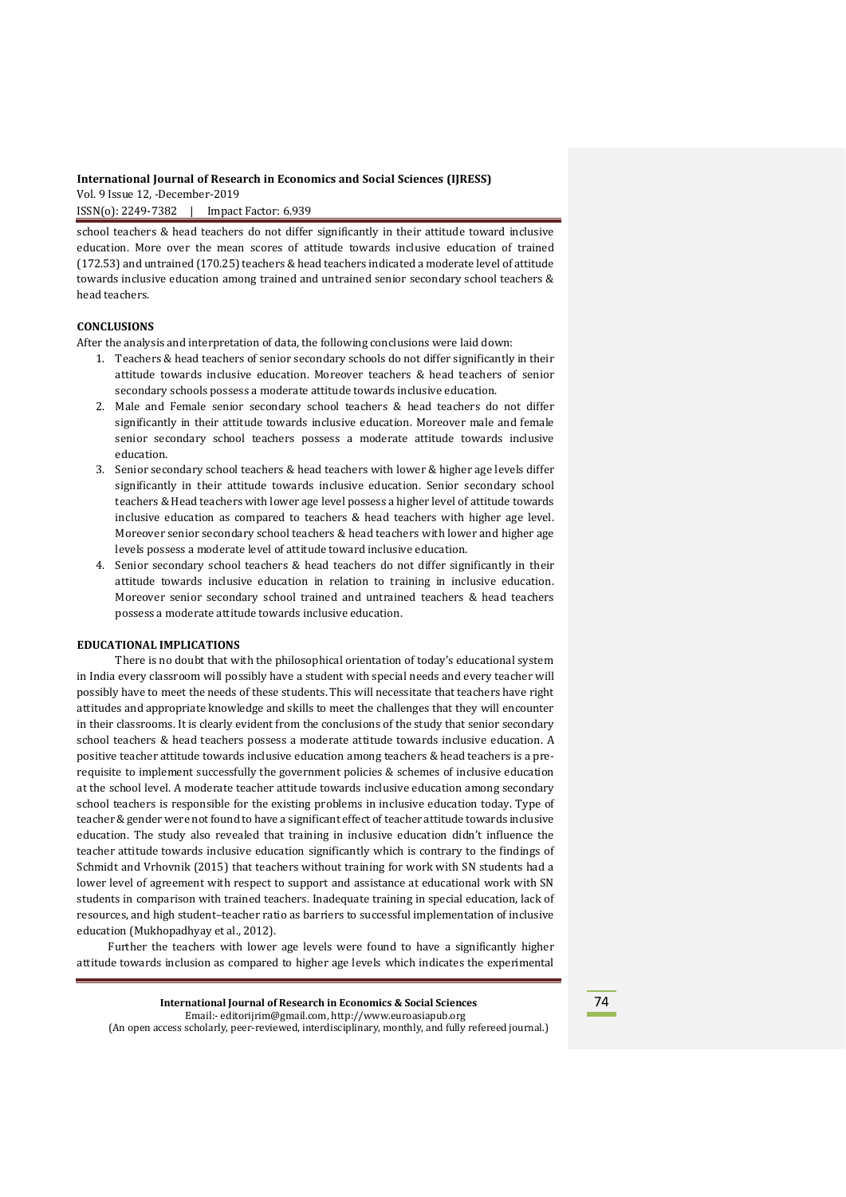ISSN(o): 2249-7382 | Impact Factor: 6.939

school teachers & head teachers do not differ significantly in their attitude toward inclusive education. More over the mean scores of attitude towards inclusive education of trained (172.53) and untrained (170.25) teachers & head teachers indicated a moderate level of attitude towards inclusive education among trained and untrained senior secondary school teachers & head teachers.

# **CONCLUSIONS**

After the analysis and interpretation of data, the following conclusions were laid down:

- 1. Teachers & head teachers of senior secondary schools do not differ significantly in their attitude towards inclusive education. Moreover teachers & head teachers of senior secondary schools possess a moderate attitude towards inclusive education.
- 2. Male and Female senior secondary school teachers & head teachers do not differ significantly in their attitude towards inclusive education. Moreover male and female senior secondary school teachers possess a moderate attitude towards inclusive education.
- 3. Senior secondary school teachers & head teachers with lower & higher age levels differ significantly in their attitude towards inclusive education. Senior secondary school teachers & Head teachers with lower age level possess a higher level of attitude towards inclusive education as compared to teachers & head teachers with higher age level. Moreover senior secondary school teachers & head teachers with lower and higher age levels possess a moderate level of attitude toward inclusive education.
- 4. Senior secondary school teachers & head teachers do not differ significantly in their attitude towards inclusive education in relation to training in inclusive education. Moreover senior secondary school trained and untrained teachers & head teachers possess a moderate attitude towards inclusive education.

#### **EDUCATIONAL IMPLICATIONS**

There is no doubt that with the philosophical orientation of today's educational system in India every classroom will possibly have a student with special needs and every teacher will possibly have to meet the needs of these students. This will necessitate that teachers have right attitudes and appropriate knowledge and skills to meet the challenges that they will encounter in their classrooms. It is clearly evident from the conclusions of the study that senior secondary school teachers & head teachers possess a moderate attitude towards inclusive education. A positive teacher attitude towards inclusive education among teachers & head teachers is a prerequisite to implement successfully the government policies & schemes of inclusive education at the school level. A moderate teacher attitude towards inclusive education among secondary school teachers is responsible for the existing problems in inclusive education today. Type of teacher & gender were not found to have a significant effect of teacher attitude towards inclusive education. The study also revealed that training in inclusive education didn't influence the teacher attitude towards inclusive education significantly which is contrary to the findings of Schmidt and Vrhovnik (2015) that teachers without training for work with SN students had a lower level of agreement with respect to support and assistance at educational work with SN students in comparison with trained teachers. Inadequate training in special education, lack of resources, and high student–teacher ratio as barriers to successful implementation of inclusive education (Mukhopadhyay et al., 2012).

 Further the teachers with lower age levels were found to have a significantly higher attitude towards inclusion as compared to higher age levels which indicates the experimental

**International Journal of Research in Economics & Social Sciences** Email:- editorijrim@gmail.com, http://www.euroasiapub.org (An open access scholarly, peer-reviewed, interdisciplinary, monthly, and fully refereed journal.)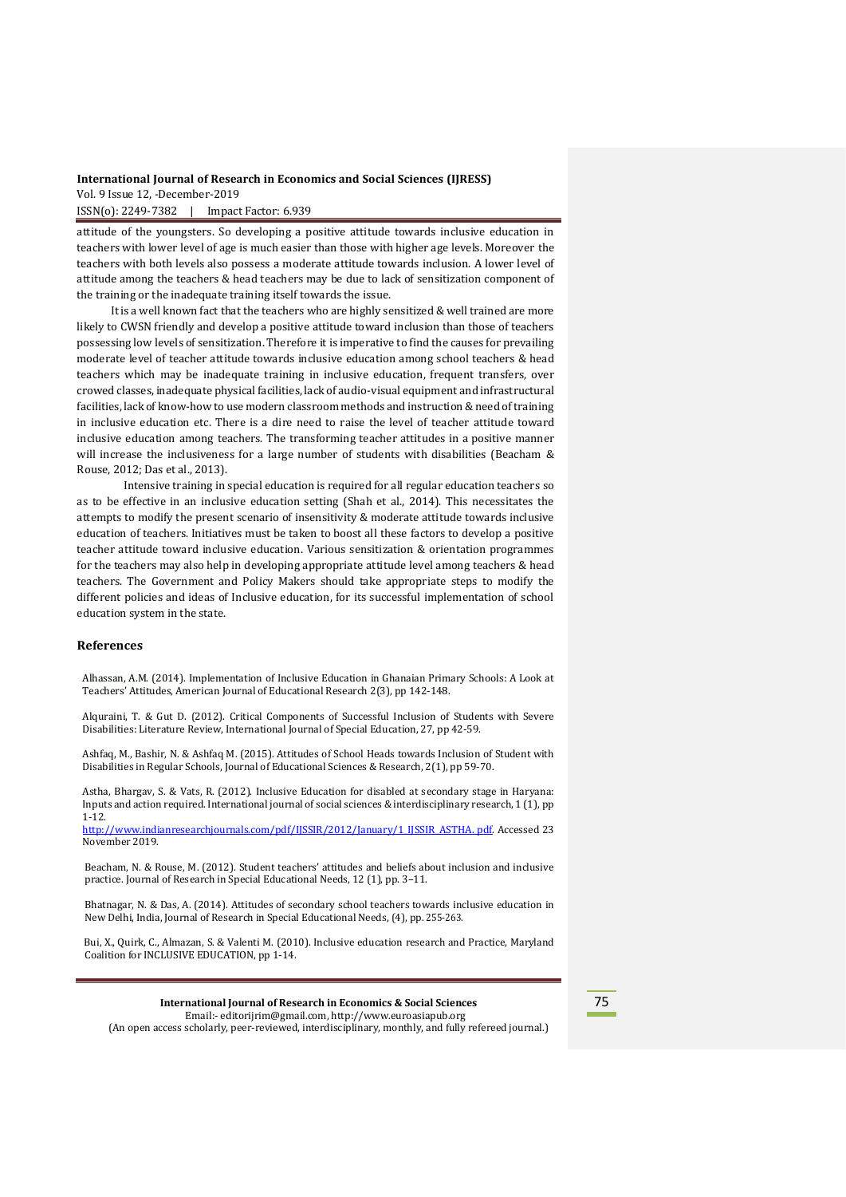ISSN(o): 2249-7382 | Impact Factor: 6.939

attitude of the youngsters. So developing a positive attitude towards inclusive education in teachers with lower level of age is much easier than those with higher age levels. Moreover the teachers with both levels also possess a moderate attitude towards inclusion. A lower level of attitude among the teachers & head teachers may be due to lack of sensitization component of the training or the inadequate training itself towards the issue.

 It is a well known fact that the teachers who are highly sensitized & well trained are more likely to CWSN friendly and develop a positive attitude toward inclusion than those of teachers possessing low levels of sensitization. Therefore it is imperative to find the causes for prevailing moderate level of teacher attitude towards inclusive education among school teachers & head teachers which may be inadequate training in inclusive education, frequent transfers, over crowed classes, inadequate physical facilities, lack of audio-visual equipment and infrastructural facilities, lack of know-how to use modern classroom methods and instruction & need of training in inclusive education etc. There is a dire need to raise the level of teacher attitude toward inclusive education among teachers. The transforming teacher attitudes in a positive manner will increase the inclusiveness for a large number of students with disabilities (Beacham & Rouse, 2012; Das et al., 2013).

 Intensive training in special education is required for all regular education teachers so as to be effective in an inclusive education setting (Shah et al., 2014). This necessitates the attempts to modify the present scenario of insensitivity & moderate attitude towards inclusive education of teachers. Initiatives must be taken to boost all these factors to develop a positive teacher attitude toward inclusive education. Various sensitization & orientation programmes for the teachers may also help in developing appropriate attitude level among teachers & head teachers. The Government and Policy Makers should take appropriate steps to modify the different policies and ideas of Inclusive education, for its successful implementation of school education system in the state.

## **References**

Alhassan, A.M. (2014). Implementation of Inclusive Education in Ghanaian Primary Schools: A Look at Teachers' Attitudes, American Journal of Educational Research 2(3), pp 142-148.

Alquraini, T. & Gut D. (2012). Critical Components of Successful Inclusion of Students with Severe Disabilities: Literature Review, International Journal of Special Education, 27, pp 42-59.

Ashfaq, M., Bashir, N. & Ashfaq M. (2015). Attitudes of School Heads towards Inclusion of Student with Disabilities in Regular Schools, Journal of Educational Sciences & Research, 2(1), pp 59-70.

Astha, Bhargav, S. & Vats, R. (2012). Inclusive Education for disabled at secondary stage in Haryana: Inputs and action required. International journal of social sciences & interdisciplinary research, 1 (1), pp 1-12.

[http://www.indianresearchjournals.com/pdf/IJSSIR/2012/January/1\\_IJSSIR\\_ASTHA.](http://www.indianresearchjournals.com/pdf/IJSSIR/2012/January/1_IJSSIR_ASTHA) pdf. Accessed 23 November 2019.

Beacham, N. & Rouse, M. (2012). Student teachers' attitudes and beliefs about inclusion and inclusive practice. Journal of Research in Special Educational Needs, 12 (1), pp. 3–11.

Bhatnagar, N. & Das, A. (2014). Attitudes of secondary school teachers towards inclusive education in New Delhi, India, Journal of Research in Special Educational Needs, (4), pp. 255-263.

 Bui, X., Quirk, C., Almazan, S. & Valenti M. (2010). Inclusive education research and Practice, Maryland Coalition for INCLUSIVE EDUCATION, pp 1-14.

#### **International Journal of Research in Economics & Social Sciences** Email:- editorijrim@gmail.com, http://www.euroasiapub.org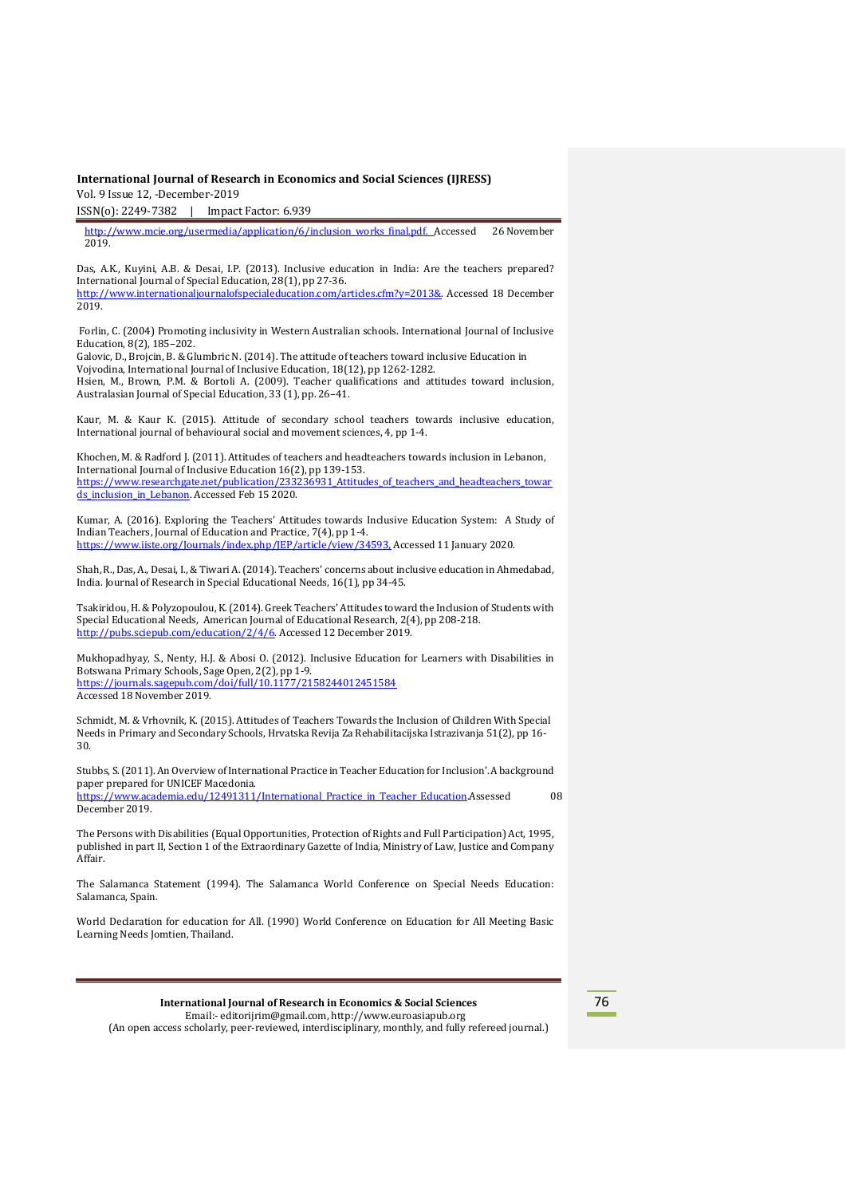ISSN(o): 2249-7382 | Impact Factor: 6.939

[http://www.mcie.org/usermedia/application/6/inclusion\\_works\\_final.pdf.](http://www.mcie.org/usermedia/application/6/inclusion_works_final.pdf) Accessed 26 November 2019.

Das, A.K., Kuyini, A.B. & Desai, I.P. (2013). Inclusive education in India: Are the teachers prepared? International Journal of Special Education, 28(1), pp 27-36. [http://www.internationaljournalofspecialeducation.com/articles.cfm?y=2013&.](http://www.internationaljournalofspecialeducation.com/articles.cfm?y=2013&) Accessed 18 December

2019.

Forlin, C. (2004) Promoting inclusivity in Western Australian schools. International Journal of Inclusive Education, 8(2), 185–202.

Galovic, D., Brojcin, B. & Glumbric N. (2014). The attitude of teachers toward inclusive Education in Vojvodina, International Journal of Inclusive Education, 18(12), pp 1262-1282. Hsien, M., Brown, P.M. & Bortoli A. (2009). Teacher qualifications and attitudes toward inclusion, Australasian Journal of Special Education, 33 (1), pp. 26–41.

Kaur, M. & Kaur K. (2015). Attitude of secondary school teachers towards inclusive education, International journal of behavioural social and movement sciences, 4, pp 1-4.

Khochen, M. & Radford J. (2011). Attitudes of teachers and headteachers towards inclusion in Lebanon, International Journal of Inclusive Education 16(2), pp 139-153. https://www.researchgate.net/publication/233236931 Attitudes of teachers and headteachers towar [ds\\_inclusion\\_in\\_Lebanon.](https://www.researchgate.net/publication/233236931_Attitudes_of_teachers_and_headteachers_towards_inclusion_in_Lebanon) Accessed Feb 15 2020.

Kumar, A. (2016). Exploring the Teachers' Attitudes towards Inclusive Education System: A Study of Indian Teachers, Journal of Education and Practice, 7(4), pp 1-4. [https://www.iiste.org/Journals/index.php/JEP/article/view/34593,](https://www.iiste.org/Journals/index.php/JEP/article/view/34593) Accessed 11 January 2020.

Shah,R., Das, A., Desai, I., & TiwariA. (2014). Teachers' concerns about inclusive education in Ahmedabad, India. Journal of Research in Special Educational Needs, 16(1), pp 34-45.

Tsakiridou, H. & Polyzopoulou, K.(2014).Greek Teachers' Attitudes toward the Inclusion of Students with Special Educational Needs, American Journal of Educational Research, 2(4), pp 208-218. [http://pubs.sciepub.com/education/2/4/6.](http://pubs.sciepub.com/education/2/4/6) Accessed 12 December 2019.

Mukhopadhyay, S., Nenty, H.J. & Abosi O. (2012). Inclusive Education for Learners with Disabilities in Botswana Primary Schools, Sage Open, 2(2), pp 1-9. <https://journals.sagepub.com/doi/full/10.1177/2158244012451584> Accessed 18 November 2019.

Schmidt, M. & Vrhovnik, K. (2015). Attitudes of Teachers Towards the Inclusion of Children With Special Needs in Primary and Secondary Schools, Hrvatska Revija Za Rehabilitacijska Istrazivanja 51(2), pp 16- 30.

Stubbs, S. (2011). An Overview of International Practice in Teacher Education for Inclusion'. A background paper prepared for UNICEF Macedonia. [https://www.academia.edu/12491311/International\\_Practice\\_in\\_Teacher\\_Education.A](https://www.academia.edu/12491311/International_Practice_in_Teacher_Education)ssessed 08

December 2019. The Persons with Disabilities (Equal Opportunities, Protection of Rights and Full Participation) Act, 1995,

published in part II, Section 1 of the Extraordinary Gazette of India, Ministry of Law, Justice and Company Affair.

The Salamanca Statement (1994). The Salamanca World Conference on Special Needs Education: Salamanca, Spain.

World Declaration for education for All. (1990) World Conference on Education for All Meeting Basic Learning Needs Jomtien, Thailand.

| International Journal of Research in Economics & Social Sciences |  |
|------------------------------------------------------------------|--|
| Email:-editorijrim@gmail.com, http://www.euroasiapub.org         |  |